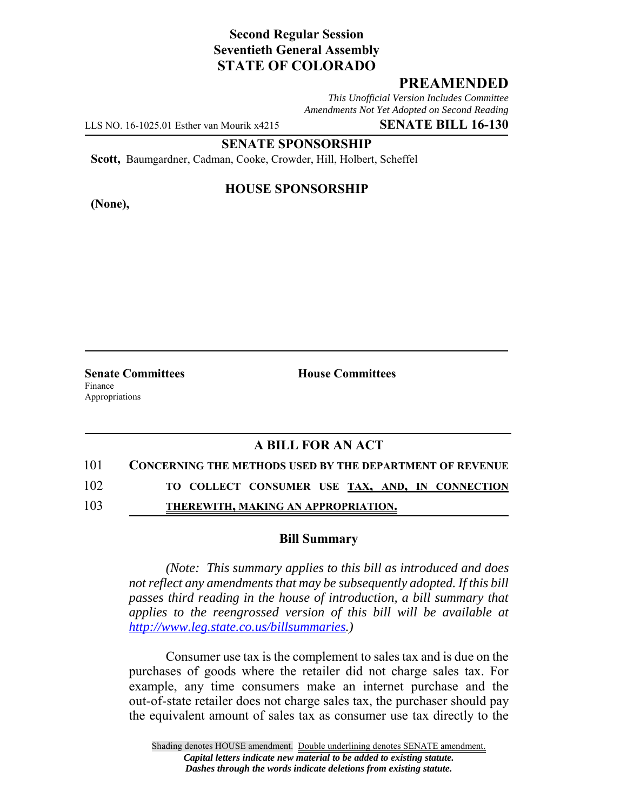## **Second Regular Session Seventieth General Assembly STATE OF COLORADO**

## **PREAMENDED**

*This Unofficial Version Includes Committee Amendments Not Yet Adopted on Second Reading*

LLS NO. 16-1025.01 Esther van Mourik x4215 **SENATE BILL 16-130**

**SENATE SPONSORSHIP**

**Scott,** Baumgardner, Cadman, Cooke, Crowder, Hill, Holbert, Scheffel

**(None),**

### **HOUSE SPONSORSHIP**

**Senate Committees House Committees** Finance Appropriations

### **A BILL FOR AN ACT**

### 101 **CONCERNING THE METHODS USED BY THE DEPARTMENT OF REVENUE**

102 **TO COLLECT CONSUMER USE TAX, AND, IN CONNECTION**

103 **THEREWITH, MAKING AN APPROPRIATION.**

#### **Bill Summary**

*(Note: This summary applies to this bill as introduced and does not reflect any amendments that may be subsequently adopted. If this bill passes third reading in the house of introduction, a bill summary that applies to the reengrossed version of this bill will be available at http://www.leg.state.co.us/billsummaries.)*

Consumer use tax is the complement to sales tax and is due on the purchases of goods where the retailer did not charge sales tax. For example, any time consumers make an internet purchase and the out-of-state retailer does not charge sales tax, the purchaser should pay the equivalent amount of sales tax as consumer use tax directly to the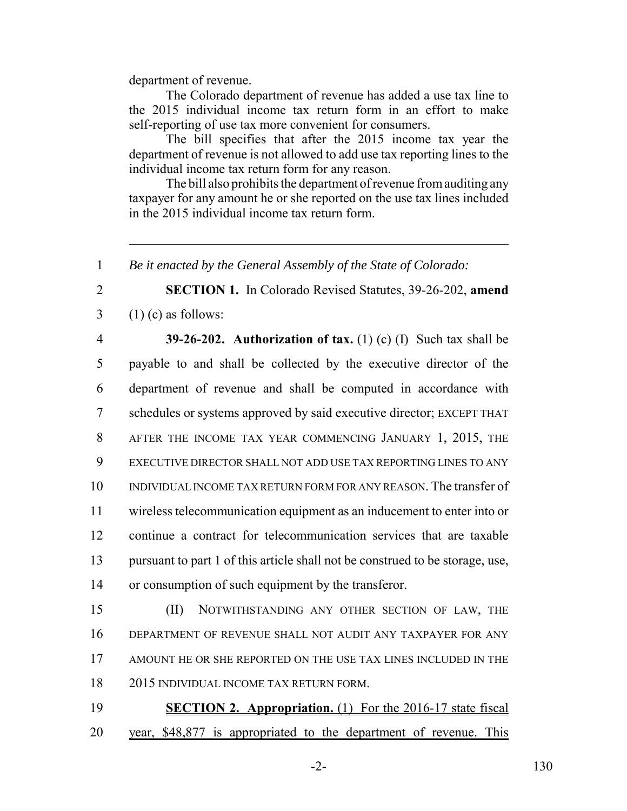department of revenue.

The Colorado department of revenue has added a use tax line to the 2015 individual income tax return form in an effort to make self-reporting of use tax more convenient for consumers.

The bill specifies that after the 2015 income tax year the department of revenue is not allowed to add use tax reporting lines to the individual income tax return form for any reason.

The bill also prohibits the department of revenue from auditing any taxpayer for any amount he or she reported on the use tax lines included in the 2015 individual income tax return form.

# **SECTION 1.** In Colorado Revised Statutes, 39-26-202, **amend**  $3 \quad (1)$  (c) as follows:

 **39-26-202. Authorization of tax.** (1) (c) (I) Such tax shall be payable to and shall be collected by the executive director of the department of revenue and shall be computed in accordance with schedules or systems approved by said executive director; EXCEPT THAT AFTER THE INCOME TAX YEAR COMMENCING JANUARY 1, 2015, THE EXECUTIVE DIRECTOR SHALL NOT ADD USE TAX REPORTING LINES TO ANY INDIVIDUAL INCOME TAX RETURN FORM FOR ANY REASON. The transfer of wireless telecommunication equipment as an inducement to enter into or continue a contract for telecommunication services that are taxable pursuant to part 1 of this article shall not be construed to be storage, use, or consumption of such equipment by the transferor.

 (II) NOTWITHSTANDING ANY OTHER SECTION OF LAW, THE DEPARTMENT OF REVENUE SHALL NOT AUDIT ANY TAXPAYER FOR ANY AMOUNT HE OR SHE REPORTED ON THE USE TAX LINES INCLUDED IN THE 2015 INDIVIDUAL INCOME TAX RETURN FORM.

 **SECTION 2. Appropriation.** (1) For the 2016-17 state fiscal year, \$48,877 is appropriated to the department of revenue. This

-2- 130

*Be it enacted by the General Assembly of the State of Colorado:*